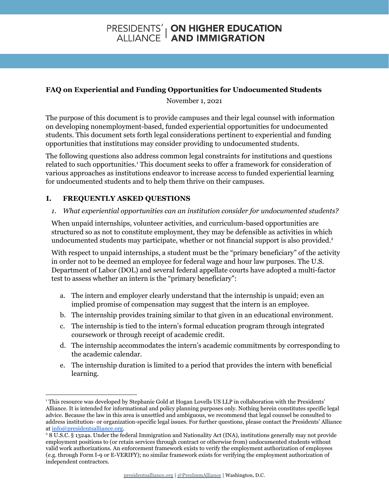# **PRESIDENTS' | ON HIGHER EDUCATION<br>ALLIANCE | AND IMMIGRATION**

## **FAQ on Experiential and Funding Opportunities for Undocumented Students**

November 1, 2021

The purpose of this document is to provide campuses and their legal counsel with information on developing nonemployment-based, funded experiential opportunities for undocumented students. This document sets forth legal considerations pertinent to experiential and funding opportunities that institutions may consider providing to undocumented students.

The following questions also address common legal constraints for institutions and questions related to such opportunities.<sup>1</sup> This document seeks to offer a framework for consideration of various approaches as institutions endeavor to increase access to funded experiential learning for undocumented students and to help them thrive on their campuses.

# **I. FREQUENTLY ASKED QUESTIONS**

### *1. What experiential opportunities can an institution consider for undocumented students?*

When unpaid internships, volunteer activities, and curriculum-based opportunities are structured so as not to constitute employment, they may be defensible as activities in which undocumented students may participate, whether or not financial support is also provided. 2

With respect to unpaid internships, a student must be the "primary beneficiary" of the activity in order not to be deemed an employee for federal wage and hour law purposes. The U.S. Department of Labor (DOL) and several federal appellate courts have adopted a multi-factor test to assess whether an intern is the "primary beneficiary":

- a. The intern and employer clearly understand that the internship is unpaid; even an implied promise of compensation may suggest that the intern is an employee.
- b. The internship provides training similar to that given in an educational environment.
- c. The internship is tied to the intern's formal education program through integrated coursework or through receipt of academic credit.
- d. The internship accommodates the intern's academic commitments by corresponding to the academic calendar.
- e. The internship duration is limited to a period that provides the intern with beneficial learning.

<sup>1</sup> This resource was developed by Stephanie Gold at Hogan Lovells US LLP in collaboration with the Presidents' Alliance. It is intended for informational and policy planning purposes only. Nothing herein constitutes specific legal advice. Because the law in this area is unsettled and ambiguous, we recommend that legal counsel be consulted to address institution- or organization-specific legal issues. For further questions, please contact the Presidents' Alliance at [info@presidentsalliance.org.](mailto:info@presidentsalliance.org)

<sup>2</sup> 8 U.S.C. § 1324a. Under the federal Immigration and Nationality Act (INA), institutions generally may not provide employment positions to (or retain services through contract or otherwise from) undocumented students without valid work authorizations. An enforcement framework exists to verify the employment authorization of employees (e.g. through Form I-9 or E-VERIFY); no similar framework exists for verifying the employment authorization of independent contractors.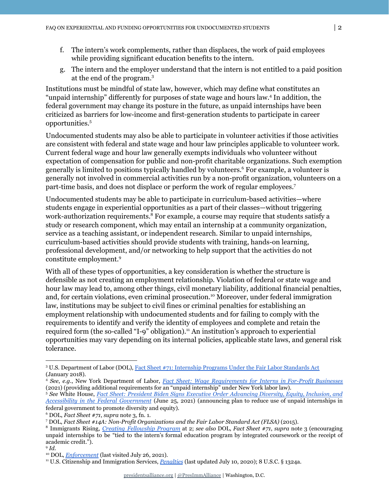- f. The intern's work complements, rather than displaces, the work of paid employees while providing significant education benefits to the intern.
- g. The intern and the employer understand that the intern is not entitled to a paid position at the end of the program. 3

Institutions must be mindful of state law, however, which may define what constitutes an "unpaid internship" differently for purposes of state wage and hours law.<sup>4</sup> In addition, the federal government may change its posture in the future, as unpaid internships have been criticized as barriers for low-income and first-generation students to participate in career opportunities. 5

Undocumented students may also be able to participate in volunteer activities if those activities are consistent with federal and state wage and hour law principles applicable to volunteer work. Current federal wage and hour law generally exempts individuals who volunteer without expectation of compensation for public and non-profit charitable organizations. Such exemption generally is limited to positions typically handled by volunteers.<sup>6</sup> For example, a volunteer is generally not involved in commercial activities run by a non-profit organization, volunteers on a part-time basis, and does not displace or perform the work of regular employees. 7

Undocumented students may be able to participate in curriculum-based activities—where students engage in experiential opportunities as a part of their classes—without triggering work-authorization requirements.<sup>8</sup> For example, a course may require that students satisfy a study or research component, which may entail an internship at a community organization, service as a teaching assistant, or independent research. Similar to unpaid internships, curriculum-based activities should provide students with training, hands-on learning, professional development, and/or networking to help support that the activities do not constitute employment. 9

With all of these types of opportunities, a key consideration is whether the structure is defensible as not creating an employment relationship. Violation of federal or state wage and hour law may lead to, among other things, civil monetary liability, additional financial penalties, and, for certain violations, even criminal prosecution.<sup>10</sup> Moreover, under federal immigration law, institutions may be subject to civil fines or criminal penalties for establishing an employment relationship with undocumented students and for failing to comply with the requirements to identify and verify the identity of employees and complete and retain the required form (the so-called "I-9" obligation).<sup>11</sup> An institution's approach to experiential opportunities may vary depending on its internal policies, applicable state laws, and general risk tolerance.

<sup>3</sup> U.S. Department of Labor (DOL), [Fact Sheet #71: Internship Programs Under the Fair Labor Standards Act](https://www.dol.gov/agencies/whd/fact-sheets/71-flsa-internships) (January 2018).

<sup>4</sup> *See*, *e.g*., New York Department of Labor, *Fact Sheet: Wage [Requirements](https://dol.ny.gov/system/files/documents/2021/03/p725.pdf) for Interns in For-Profit Businesses* (2021) (providing additional requirements for an "unpaid internship" under New York labor law).

<sup>5</sup> *See* White House, *Fact Sheet: President Biden Signs Executive Order [Advancing](https://www.whitehouse.gov/briefing-room/statements-releases/2021/06/25/fact-sheet-president-biden-signs-executive-order-advancing-diversity-equity-inclusion-and-accessibility-in-the-federal-government/) Diversity, Equity, Inclusion, and Accessibility in the Federal [Government](https://www.whitehouse.gov/briefing-room/statements-releases/2021/06/25/fact-sheet-president-biden-signs-executive-order-advancing-diversity-equity-inclusion-and-accessibility-in-the-federal-government/)* (June 25, 2021) (announcing plan to reduce use of unpaid internships in federal government to promote diversity and equity).

<sup>6</sup> DOL, *Fact Sheet #71*, *supra* note 3, fn. 1.

<sup>7</sup> DOL, *Fact Sheet #14A: Non-Profit Organizations and the Fair Labor Standard Act (FLSA)* (2015).

<sup>8</sup> Immigrants Rising, *Creating [Fellowship](https://immigrantsrising.org/wp-content/uploads/Immigrants-Rising_Creating-Fellowship-Programs-For-Educational-Institutions.pdf) Program* at 2; *see also* DOL, *Fact Sheet #71*, *supra* note 3 (encouraging unpaid internships to be "tied to the intern's formal education program by integrated coursework or the receipt of academic credit.").

<sup>9</sup> *Id.*

<sup>10</sup> DOL, *[Enforcement](https://www.dol.gov/general/topic/youthlabor/enforcement)* (last visited July 26, 2021).

<sup>11</sup> U.S. Citizenship and Immigration Services, *[Penalties](https://www.uscis.gov/i-9-central/legal-requirements-and-enforcement/penalties)* (last updated July 10, 2020); 8 U.S.C. § 1324a.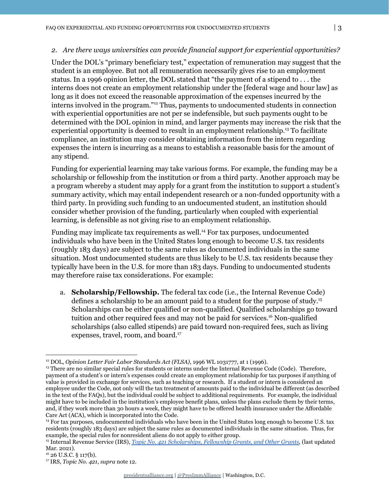#### *2. Are there ways universities can provide financial support for experiential opportunities?*

Under the DOL's "primary beneficiary test," expectation of remuneration may suggest that the student is an employee. But not all remuneration necessarily gives rise to an employment status. In a 1996 opinion letter, the DOL stated that "the payment of a stipend to . . . the interns does not create an employment relationship under the [federal wage and hour law] as long as it does not exceed the reasonable approximation of the expenses incurred by the interns involved in the program."<sup>12</sup> Thus, payments to undocumented students in connection with experiential opportunities are not per se indefensible, but such payments ought to be determined with the DOL opinion in mind, and larger payments may increase the risk that the experiential opportunity is deemed to result in an employment relationship.<sup>13</sup> To facilitate compliance, an institution may consider obtaining information from the intern regarding expenses the intern is incurring as a means to establish a reasonable basis for the amount of any stipend.

Funding for experiential learning may take various forms. For example, the funding may be a scholarship or fellowship from the institution or from a third party. Another approach may be a program whereby a student may apply for a grant from the institution to support a student's summary activity, which may entail independent research or a non-funded opportunity with a third party. In providing such funding to an undocumented student, an institution should consider whether provision of the funding, particularly when coupled with experiential learning, is defensible as not giving rise to an employment relationship.

Funding may implicate tax requirements as well.<sup>14</sup> For tax purposes, undocumented individuals who have been in the United States long enough to become U.S. tax residents (roughly 183 days) are subject to the same rules as documented individuals in the same situation. Most undocumented students are thus likely to be U.S. tax residents because they typically have been in the U.S. for more than 183 days. Funding to undocumented students may therefore raise tax considerations. For example:

a. **Scholarship/Fellowship.** The federal tax code (i.e., the Internal Revenue Code) defines a scholarship to be an amount paid to a student for the purpose of study. 15 Scholarships can be either qualified or non-qualified. Qualified scholarships go toward tuition and other required fees and may not be paid for services.<sup>16</sup> Non-qualified scholarships (also called stipends) are paid toward non-required fees, such as living expenses, travel, room, and board. 17

<sup>&</sup>lt;sup>12</sup> DOL, *Opinion Letter Fair Labor Standards Act (FLSA)*, 1996 WL 1031777, at 1 (1996).

<sup>&</sup>lt;sup>13</sup> There are no similar special rules for students or interns under the Internal Revenue Code (Code). Therefore, payment of a student's or intern's expenses could create an employment relationship for tax purposes if anything of value is provided in exchange for services, such as teaching or research. If a student or intern is considered an employee under the Code, not only will the tax treatment of amounts paid to the individual be different (as described in the text of the FAQs), but the individual could be subject to additional requirements. For example, the individual might have to be included in the institution's employee benefit plans, unless the plans exclude them by their terms, and, if they work more than 30 hours a week, they might have to be offered health insurance under the Affordable Care Act (ACA), which is incorporated into the Code.

<sup>&</sup>lt;sup>14</sup> For tax purposes, undocumented individuals who have been in the United States long enough to become U.S. tax residents (roughly 183 days) are subject the same rules as documented individuals in the same situation. Thus, for example, the special rules for nonresident aliens do not apply to either group.

<sup>15</sup> Internal Revenue Service (IRS), *Topic No. 421 Scholarships, [Fellowship Grants, and Other Grants](https://www.irs.gov/taxtopics/tc421)*, (last updated Mar. 2021).

 $16$  26 U.S.C. § 117(b).

<sup>17</sup> IRS, *Topic No. 421*, *supra* note 12.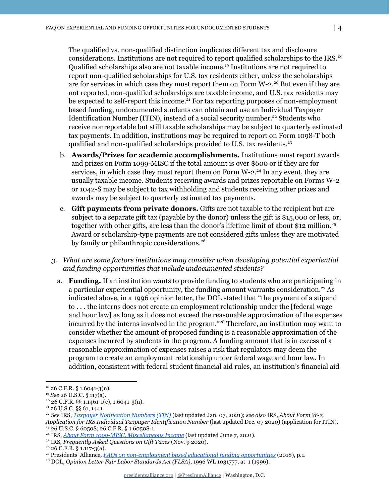The qualified vs. non-qualified distinction implicates different tax and disclosure considerations. Institutions are not required to report qualified scholarships to the IRS. 18 Qualified scholarships also are not taxable income.<sup>19</sup> Institutions are not required to report non-qualified scholarships for U.S. tax residents either, unless the scholarships are for services in which case they must report them on Form W-2.<sup>20</sup> But even if they are not reported, non-qualified scholarships are taxable income, and U.S. tax residents may be expected to self-report this income.<sup>21</sup> For tax reporting purposes of non-employment based funding, undocumented students can obtain and use an Individual Taxpayer Identification Number (ITIN), instead of a social security number.<sup>22</sup> Students who receive nonreportable but still taxable scholarships may be subject to quarterly estimated tax payments. In addition, institutions may be required to report on Form 1098-T both qualified and non-qualified scholarships provided to U.S. tax residents. 23

- b. **Awards/Prizes for academic accomplishments.** Institutions must report awards and prizes on Form 1099-MISC if the total amount is over \$600 or if they are for services, in which case they must report them on Form  $W-2.^{24}$  In any event, they are usually taxable income. Students receiving awards and prizes reportable on Forms W-2 or 1042-S may be subject to tax withholding and students receiving other prizes and awards may be subject to quarterly estimated tax payments.
- c. **Gift payments from private donors.** Gifts are not taxable to the recipient but are subject to a separate gift tax (payable by the donor) unless the gift is \$15,000 or less, or, together with other gifts, are less than the donor's lifetime limit of about \$12 million. 25 Award or scholarship-type payments are not considered gifts unless they are motivated by family or philanthropic considerations. 26
- *3. What are some factors institutions may consider when developing potential experiential and funding opportunities that include undocumented students?*
	- a. **Funding.** If an institution wants to provide funding to students who are participating in a particular experiential opportunity, the funding amount warrants consideration.<sup>27</sup> As indicated above, in a 1996 opinion letter, the DOL stated that "the payment of a stipend to . . . the interns does not create an employment relationship under the [federal wage and hour law] as long as it does not exceed the reasonable approximation of the expenses incurred by the interns involved in the program."<sup>28</sup> Therefore, an institution may want to consider whether the amount of proposed funding is a reasonable approximation of the expenses incurred by students in the program. A funding amount that is in excess of a reasonable approximation of expenses raises a risk that regulators may deem the program to create an employment relationship under federal wage and hour law. In addition, consistent with federal student financial aid rules, an institution's financial aid

 $18$  26 C.F.R. § 1.6041-3(n).

<sup>19</sup> *See* 26 U.S.C. § 117(a).

 $20$  26 C.F.R. §§ 1.1461-1(c), 1.6041-3(n).

<sup>21</sup> 26 U.S.C. §§ 61, 1441.

<sup>23</sup> 26 U.S.C. § 6050S; 26 C.F.R. § 1.6050S-1. <sup>22</sup> *See* IRS, *[Taxpayer Notification Numbers \(TIN\)](https://www.irs.gov/individuals/international-taxpayers/taxpayer-identification-numbers-tin#:~:text=PDF%20(PDF).-,ITIN,NNN%2DNN%2DNNNN).)* (last updated Jan. 07, 2021); *see also* IRS, *About Form W-7, Application for IRS Individual Taxpayer Identification Number* (last updated Dec. 07 2020) (application for ITIN).

<sup>24</sup> IRS, *[About Form 1099-MISC, Miscellaneous Income](https://www.irs.gov/forms-pubs/about-form-1099-misc)* (last updated June 7, 2021).

<sup>25</sup> IRS, *Frequently Asked Questions on Gift Taxes* (Nov. 9 2020).

 $26$  C.F.R. § 1.117-3(a).

<sup>27</sup> Presidents' Alliance*, FAQs on non-employment based [educational funding opportunities](https://www.presidentsalliance.org/wp-content/uploads/2020/04/FAQ3-NonEmployment-Fellowship-Opportunities-Presidents-Alliance-3.27.18.pdf)* (2018), p.1.

<sup>&</sup>lt;sup>28</sup> DOL, *Opinion Letter Fair Labor Standards Act (FLSA)*, 1996 WL 1031777, at 1 (1996).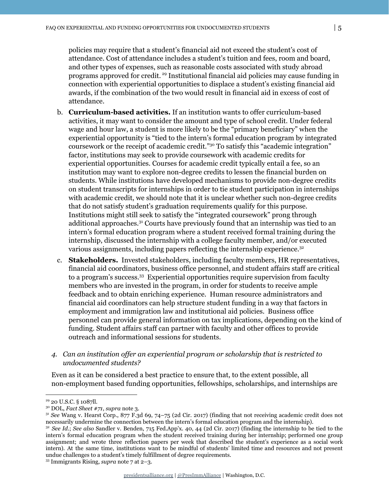policies may require that a student's financial aid not exceed the student's cost of attendance. Cost of attendance includes a student's tuition and fees, room and board, and other types of expenses, such as reasonable costs associated with study abroad programs approved for credit.<sup>29</sup> Institutional financial aid policies may cause funding in connection with experiential opportunities to displace a student's existing financial aid awards, if the combination of the two would result in financial aid in excess of cost of attendance.

- b. **Curriculum-based activities.** If an institution wants to offer curriculum-based activities, it may want to consider the amount and type of school credit. Under federal wage and hour law, a student is more likely to be the "primary beneficiary" when the experiential opportunity is "tied to the intern's formal education program by integrated coursework or the receipt of academic credit."<sup>30</sup> To satisfy this "academic integration" factor, institutions may seek to provide coursework with academic credits for experiential opportunities. Courses for academic credit typically entail a fee, so an institution may want to explore non-degree credits to lessen the financial burden on students. While institutions have developed mechanisms to provide non-degree credits on student transcripts for internships in order to tie student participation in internships with academic credit, we should note that it is unclear whether such non-degree credits that do not satisfy student's graduation requirements qualify for this purpose. Institutions might still seek to satisfy the "integrated coursework" prong through additional approaches.<sup>31</sup> Courts have previously found that an internship was tied to an intern's formal education program where a student received formal training during the internship, discussed the internship with a college faculty member, and/or executed various assignments, including papers reflecting the internship experience.<sup>32</sup>
- c. **Stakeholders.** Invested stakeholders, including faculty members, HR representatives, financial aid coordinators, business office personnel, and student affairs staff are critical to a program's success.<sup>33</sup> Experiential opportunities require supervision from faculty members who are invested in the program, in order for students to receive ample feedback and to obtain enriching experience. Human resource administrators and financial aid coordinators can help structure student funding in a way that factors in employment and immigration law and institutional aid policies. Business office personnel can provide general information on tax implications, depending on the kind of funding. Student affairs staff can partner with faculty and other offices to provide outreach and informational sessions for students.
- *4. Can an institution of er an experiential program or scholarship that is restricted to undocumented students?*

Even as it can be considered a best practice to ensure that, to the extent possible, all non-employment based funding opportunities, fellowships, scholarships, and internships are

<sup>29</sup> 20 U.S.C. § 1087ll.

<sup>30</sup> DOL, *Fact Sheet #71*, *supra* note 3.

<sup>31</sup> *See* Wang v. Hearst Corp., 877 F.3d 69, 74–75 (2d Cir. 2017) (finding that not receiving academic credit does not necessarily undermine the connection between the intern's formal education program and the internship).

<sup>32</sup> *See Id*.; *See also* Sandler v. Benden, 715 Fed.App'x. 40, 44 (2d Cir. 2017) (finding the internship to be tied to the intern's formal education program when the student received training during her internship; performed one group assignment; and wrote three reflection papers per week that described the student's experience as a social work intern). At the same time, institutions want to be mindful of students' limited time and resources and not present undue challenges to a student's timely fulfillment of degree requirements.

<sup>33</sup> Immigrants Rising, *supra* note 7 at 2–3.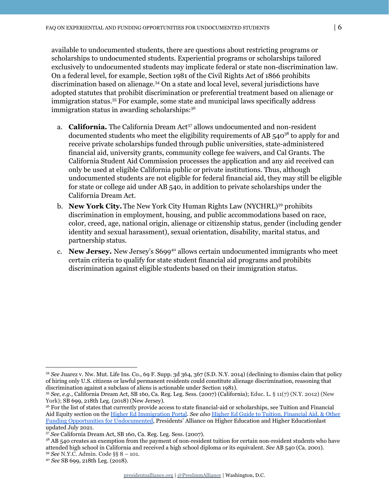available to undocumented students, there are questions about restricting programs or scholarships to undocumented students. Experiential programs or scholarships tailored exclusively to undocumented students may implicate federal or state non-discrimination law. On a federal level, for example, Section 1981 of the Civil Rights Act of 1866 prohibits discrimination based on alienage.<sup>34</sup> On a state and local level, several jurisdictions have adopted statutes that prohibit discrimination or preferential treatment based on alienage or immigration status.<sup>35</sup> For example, some state and municipal laws specifically address immigration status in awarding scholarships: 36

- a. **California.** The California Dream Act<sup>37</sup> allows undocumented and non-resident documented students who meet the eligibility requirements of AB 540<sup>38</sup> to apply for and receive private scholarships funded through public universities, state-administered financial aid, university grants, community college fee waivers, and Cal Grants. The California Student Aid Commission processes the application and any aid received can only be used at eligible California public or private institutions. Thus, although undocumented students are not eligible for federal financial aid, they may still be eligible for state or college aid under AB 540, in addition to private scholarships under the California Dream Act.
- b. New York City. The New York City Human Rights Law (NYCHRL)<sup>39</sup> prohibits discrimination in employment, housing, and public accommodations based on race, color, creed, age, national origin, alienage or citizenship status, gender (including gender identity and sexual harassment), sexual orientation, disability, marital status, and partnership status.
- c. New Jersey. New Jersey's S699<sup>40</sup> allows certain undocumented immigrants who meet certain criteria to qualify for state student financial aid programs and prohibits discrimination against eligible students based on their immigration status.

<sup>34</sup> *See* Juarez v. Nw. Mut. Life Ins. Co., 69 F. Supp. 3d 364, 367 (S.D. N.Y. 2014) (declining to dismiss claim that policy of hiring only U.S. citizens or lawful permanent residents could constitute alienage discrimination, reasoning that discrimination against a subclass of aliens is actionable under Section 1981).

<sup>35</sup> *See, e.g*., California Dream Act, SB 160, Ca. Reg. Leg. Sess. (2007) (California); Educ. L. § 11(7) (N.Y. 2012) (New York); SB 699, 218th Leg. (2018) (New Jersey).

<sup>36</sup> For the list of states that currently provide access to state financial-aid or scholarships, see Tuition and Financial Aid Equity section on the [Higher Ed Immigration Portal](https://www.higheredimmigrationportal.org/states/). *See also* [Higher Ed Guide to Tuition, Financial Aid,](https://www.higheredimmigrationportal.org/effective_practice/higher-ed-guide-to-tuition-financial-aid-other-funding-opportunities-for-undocumented-students-faqs-for-public-and-private-colleges-and-universities/) & Other [Funding Opportunities for Undocumented,](https://www.higheredimmigrationportal.org/effective_practice/higher-ed-guide-to-tuition-financial-aid-other-funding-opportunities-for-undocumented-students-faqs-for-public-and-private-colleges-and-universities/) Presidents' Alliance on Higher Education and Higher Educationlast updated July 2021.

<sup>37</sup> *See* California Dream Act, SB 160, Ca. Reg. Leg. Sess. (2007).

<sup>39</sup> *See* N.Y.C. Admin. Code §§ 8 – 101. <sup>38</sup> AB 540 creates an exemption from the payment of non-resident tuition for certain non-resident students who have attended high school in California and received a high school diploma or its equivalent. *See* AB 540 (Ca. 2001).

<sup>40</sup> *See* SB 699, 218th Leg. (2018).